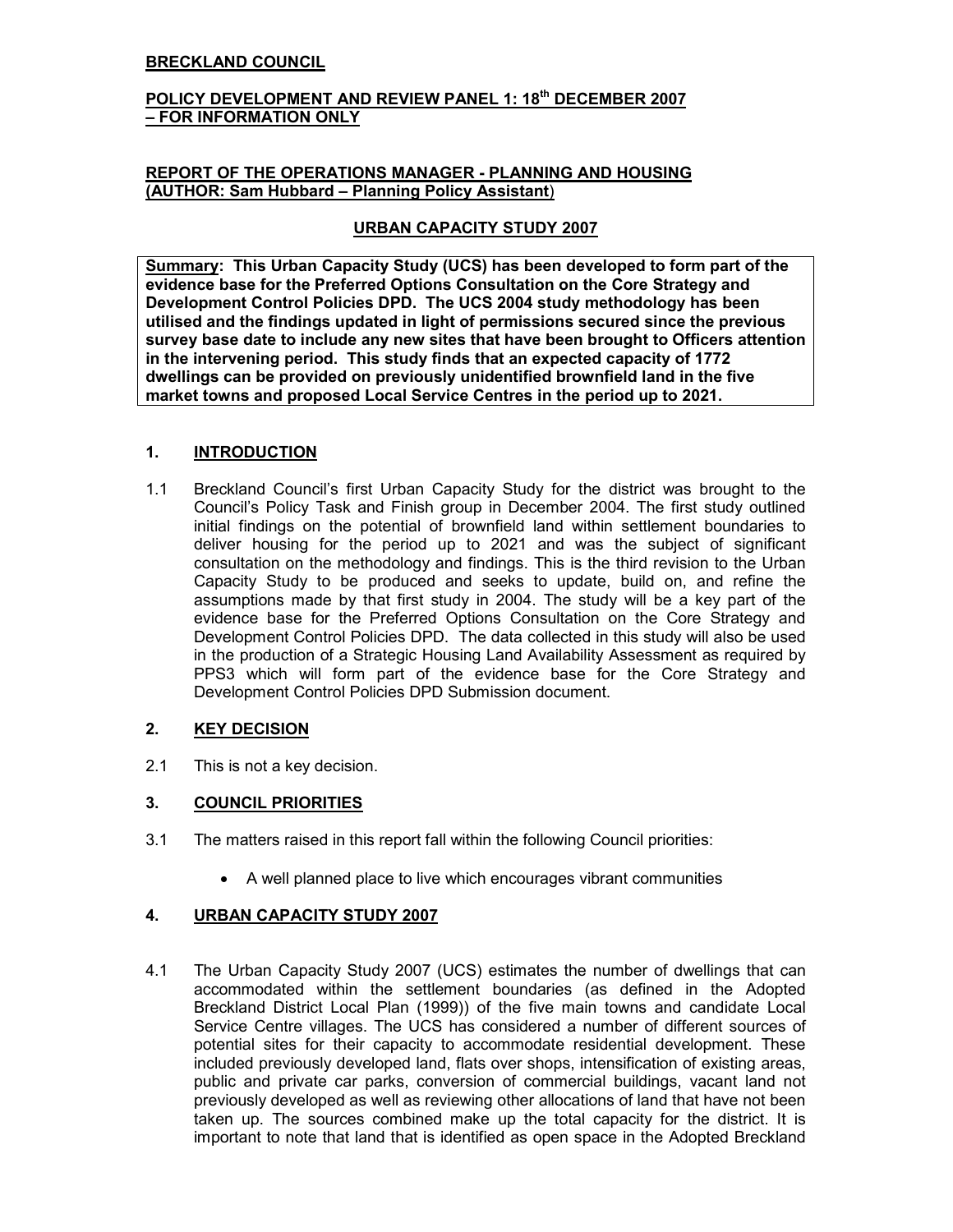#### BRECKLAND COUNCIL

## POLICY DEVELOPMENT AND REVIEW PANEL 1: 18<sup>th</sup> DECEMBER 2007 – FOR INFORMATION ONLY

### REPORT OF THE OPERATIONS MANAGER - PLANNING AND HOUSING (AUTHOR: Sam Hubbard – Planning Policy Assistant)

### URBAN CAPACITY STUDY 2007

Summary: This Urban Capacity Study (UCS) has been developed to form part of the evidence base for the Preferred Options Consultation on the Core Strategy and Development Control Policies DPD. The UCS 2004 study methodology has been utilised and the findings updated in light of permissions secured since the previous survey base date to include any new sites that have been brought to Officers attention in the intervening period. This study finds that an expected capacity of 1772 dwellings can be provided on previously unidentified brownfield land in the five market towns and proposed Local Service Centres in the period up to 2021.

#### 1. INTRODUCTION

1.1 Breckland Council's first Urban Capacity Study for the district was brought to the Council's Policy Task and Finish group in December 2004. The first study outlined initial findings on the potential of brownfield land within settlement boundaries to deliver housing for the period up to 2021 and was the subject of significant consultation on the methodology and findings. This is the third revision to the Urban Capacity Study to be produced and seeks to update, build on, and refine the assumptions made by that first study in 2004. The study will be a key part of the evidence base for the Preferred Options Consultation on the Core Strategy and Development Control Policies DPD. The data collected in this study will also be used in the production of a Strategic Housing Land Availability Assessment as required by PPS3 which will form part of the evidence base for the Core Strategy and Development Control Policies DPD Submission document.

### 2. KEY DECISION

2.1 This is not a key decision.

## 3. COUNCIL PRIORITIES

- 3.1 The matters raised in this report fall within the following Council priorities:
	- A well planned place to live which encourages vibrant communities

### 4. URBAN CAPACITY STUDY 2007

4.1 The Urban Capacity Study 2007 (UCS) estimates the number of dwellings that can accommodated within the settlement boundaries (as defined in the Adopted Breckland District Local Plan (1999)) of the five main towns and candidate Local Service Centre villages. The UCS has considered a number of different sources of potential sites for their capacity to accommodate residential development. These included previously developed land, flats over shops, intensification of existing areas, public and private car parks, conversion of commercial buildings, vacant land not previously developed as well as reviewing other allocations of land that have not been taken up. The sources combined make up the total capacity for the district. It is important to note that land that is identified as open space in the Adopted Breckland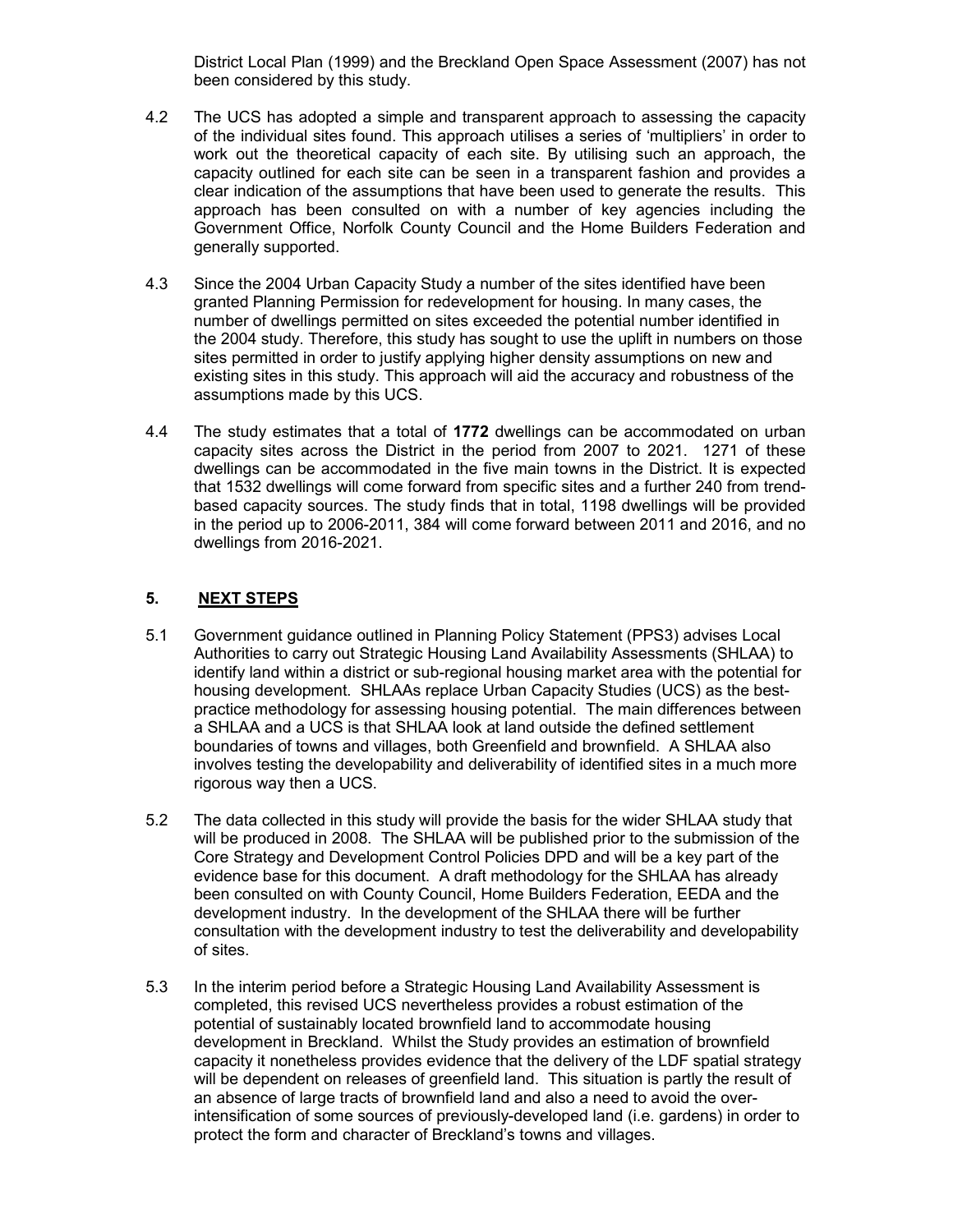District Local Plan (1999) and the Breckland Open Space Assessment (2007) has not been considered by this study.

- 4.2 The UCS has adopted a simple and transparent approach to assessing the capacity of the individual sites found. This approach utilises a series of 'multipliers' in order to work out the theoretical capacity of each site. By utilising such an approach, the capacity outlined for each site can be seen in a transparent fashion and provides a clear indication of the assumptions that have been used to generate the results. This approach has been consulted on with a number of key agencies including the Government Office, Norfolk County Council and the Home Builders Federation and generally supported.
- 4.3 Since the 2004 Urban Capacity Study a number of the sites identified have been granted Planning Permission for redevelopment for housing. In many cases, the number of dwellings permitted on sites exceeded the potential number identified in the 2004 study. Therefore, this study has sought to use the uplift in numbers on those sites permitted in order to justify applying higher density assumptions on new and existing sites in this study. This approach will aid the accuracy and robustness of the assumptions made by this UCS.
- 4.4 The study estimates that a total of 1772 dwellings can be accommodated on urban capacity sites across the District in the period from 2007 to 2021. 1271 of these dwellings can be accommodated in the five main towns in the District. It is expected that 1532 dwellings will come forward from specific sites and a further 240 from trendbased capacity sources. The study finds that in total, 1198 dwellings will be provided in the period up to 2006-2011, 384 will come forward between 2011 and 2016, and no dwellings from 2016-2021.

## 5. NEXT STEPS

- 5.1 Government guidance outlined in Planning Policy Statement (PPS3) advises Local Authorities to carry out Strategic Housing Land Availability Assessments (SHLAA) to identify land within a district or sub-regional housing market area with the potential for housing development. SHLAAs replace Urban Capacity Studies (UCS) as the bestpractice methodology for assessing housing potential. The main differences between a SHLAA and a UCS is that SHLAA look at land outside the defined settlement boundaries of towns and villages, both Greenfield and brownfield. A SHLAA also involves testing the developability and deliverability of identified sites in a much more rigorous way then a UCS.
- 5.2 The data collected in this study will provide the basis for the wider SHLAA study that will be produced in 2008. The SHLAA will be published prior to the submission of the Core Strategy and Development Control Policies DPD and will be a key part of the evidence base for this document. A draft methodology for the SHLAA has already been consulted on with County Council, Home Builders Federation, EEDA and the development industry. In the development of the SHLAA there will be further consultation with the development industry to test the deliverability and developability of sites.
- 5.3 In the interim period before a Strategic Housing Land Availability Assessment is completed, this revised UCS nevertheless provides a robust estimation of the potential of sustainably located brownfield land to accommodate housing development in Breckland. Whilst the Study provides an estimation of brownfield capacity it nonetheless provides evidence that the delivery of the LDF spatial strategy will be dependent on releases of greenfield land. This situation is partly the result of an absence of large tracts of brownfield land and also a need to avoid the overintensification of some sources of previously-developed land (i.e. gardens) in order to protect the form and character of Breckland's towns and villages.